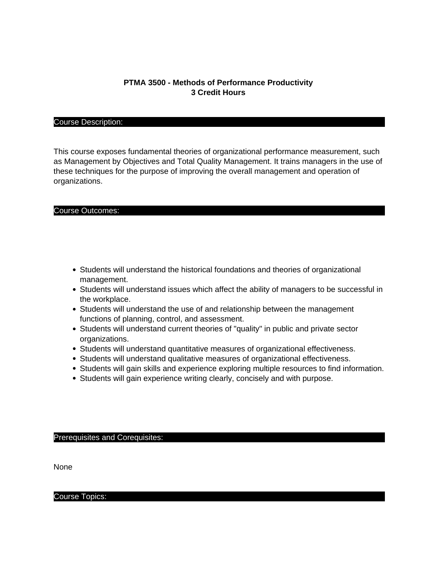# **PTMA 3500 - Methods of Performance Productivity 3 Credit Hours**

## Course Description:

This course exposes fundamental theories of organizational performance measurement, such as Management by Objectives and Total Quality Management. It trains managers in the use of these techniques for the purpose of improving the overall management and operation of organizations.

#### Course Outcomes:

- Students will understand the historical foundations and theories of organizational management.
- Students will understand issues which affect the ability of managers to be successful in the workplace.
- Students will understand the use of and relationship between the management functions of planning, control, and assessment.
- Students will understand current theories of "quality" in public and private sector organizations.
- Students will understand quantitative measures of organizational effectiveness.
- Students will understand qualitative measures of organizational effectiveness.
- Students will gain skills and experience exploring multiple resources to find information.
- Students will gain experience writing clearly, concisely and with purpose.

#### Prerequisites and Corequisites:

None

Course Topics: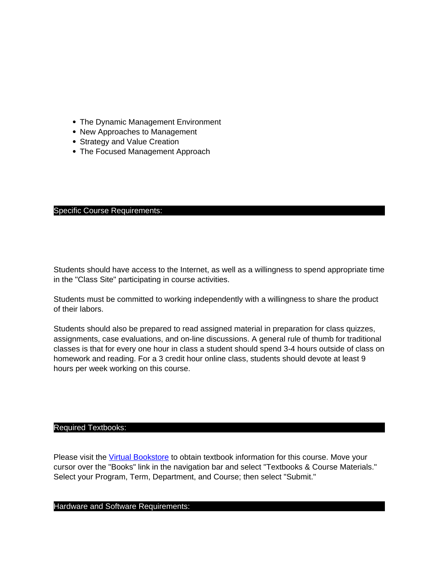- The Dynamic Management Environment
- New Approaches to Management
- Strategy and Value Creation
- The Focused Management Approach

## Specific Course Requirements:

Students should have access to the Internet, as well as a willingness to spend appropriate time in the "Class Site" participating in course activities.

Students must be committed to working independently with a willingness to share the product of their labors.

Students should also be prepared to read assigned material in preparation for class quizzes, assignments, case evaluations, and on-line discussions. A general rule of thumb for traditional classes is that for every one hour in class a student should spend 3-4 hours outside of class on homework and reading. For a 3 credit hour online class, students should devote at least 9 hours per week working on this course.

# Required Textbooks:

Please visit the [Virtual Bookstore](http://www.bkstr.com/tnecampusstore/home/en) to obtain textbook information for this course. Move your cursor over the "Books" link in the navigation bar and select "Textbooks & Course Materials." Select your Program, Term, Department, and Course; then select "Submit."

# Hardware and Software Requirements: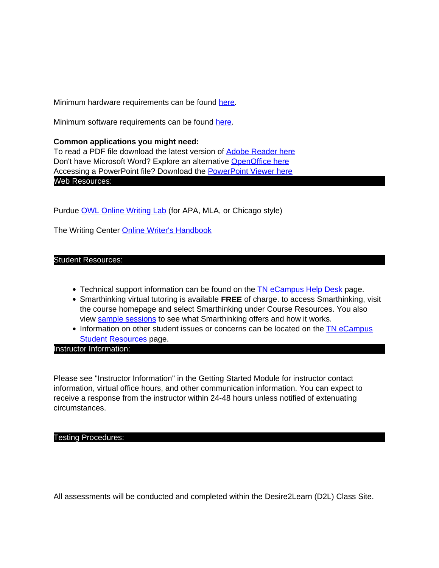Minimum hardware requirements can be found here.

Minimum software requirements can be found here.

**Common applications you might need:** To read a PDF file download the latest version of Adobe Reader here Don't have Microsoft Word? Explore an alternative OpenOffice here Accessing a PowerPoint file? Download the PowerPoint Viewer here Web Resources:

Purdue OWL Online Writing Lab (for APA, MLA, or Chicago style)

The Writing Center Online Writer's Handbook

# Student Resources:

- Technical support information can be found on the TN eCampus Help Desk page.
- Smarthinking virtual tutoring is available **FREE** of charge. to access Smarthinking, visit the course homepage and select Smarthinking under Course Resources. You also view sample sessions to see what Smarthinking offers and how it works.
- Information on other student issues or concerns can be located on the TN eCampus **Student Resources page.**

Instructor Information:

Please see "Instructor Information" in the Getting Started Module for instructor contact information, virtual office hours, and other communication information. You can expect to receive a response from the instructor within 24-48 hours unless notified of extenuating circumstances.

#### Testing Procedures:

All assessments will be conducted and completed within the Desire2Learn (D2L) Class Site.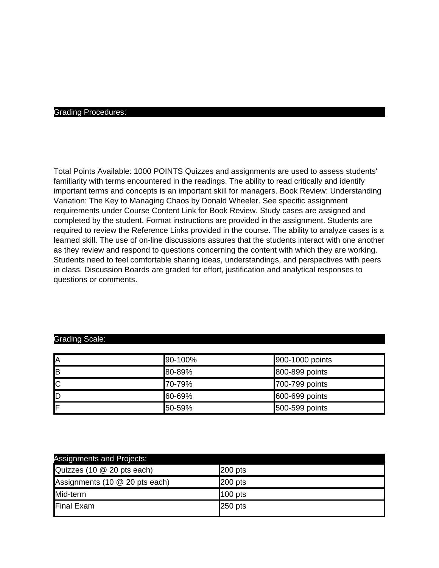#### Grading Procedures:

Total Points Available: 1000 POINTS Quizzes and assignments are used to assess students' familiarity with terms encountered in the readings. The ability to read critically and identify important terms and concepts is an important skill for managers. Book Review: Understanding Variation: The Key to Managing Chaos by Donald Wheeler. See specific assignment requirements under Course Content Link for Book Review. Study cases are assigned and completed by the student. Format instructions are provided in the assignment. Students are required to review the Reference Links provided in the course. The ability to analyze cases is a learned skill. The use of on-line discussions assures that the students interact with one another as they review and respond to questions concerning the content with which they are working. Students need to feel comfortable sharing ideas, understandings, and perspectives with peers in class. Discussion Boards are graded for effort, justification and analytical responses to questions or comments.

### Grading Scale:

| İΑ | 90-100% | 900-1000 points |
|----|---------|-----------------|
| lв | 80-89%  | 800-899 points  |
| Iс | 70-79%  | 700-799 points  |
| ID | 60-69%  | 600-699 points  |
| IF | 50-59%  | 500-599 points  |

| Assignments and Projects:      |           |
|--------------------------------|-----------|
| Quizzes (10 @ 20 pts each)     | $200$ pts |
| Assignments (10 @ 20 pts each) | $200$ pts |
| Mid-term                       | $100$ pts |
| Final Exam                     | $250$ pts |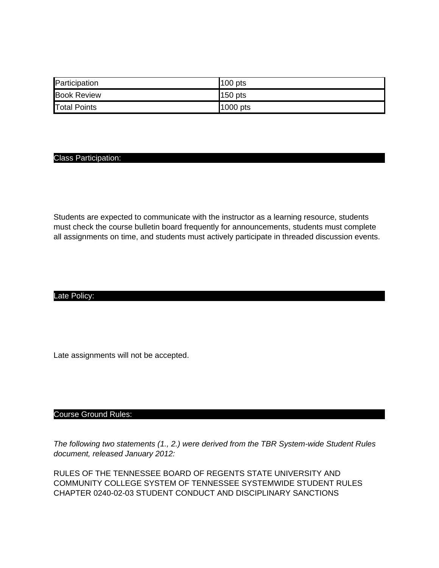| Participation       | $100$ pts  |
|---------------------|------------|
| <b>Book Review</b>  | $150$ pts  |
| <b>Total Points</b> | $1000$ pts |

## Class Participation:

Students are expected to communicate with the instructor as a learning resource, students must check the course bulletin board frequently for announcements, students must complete all assignments on time, and students must actively participate in threaded discussion events.

## Late Policy:

Late assignments will not be accepted.

## Course Ground Rules:

The following two statements (1., 2.) were derived from the TBR System-wide Student Rules document, released January 2012:

RULES OF THE TENNESSEE BOARD OF REGENTS STATE UNIVERSITY AND COMMUNITY COLLEGE SYSTEM OF TENNESSEE SYSTEMWIDE STUDENT RULES CHAPTER 0240-02-03 STUDENT CONDUCT AND DISCIPLINARY SANCTIONS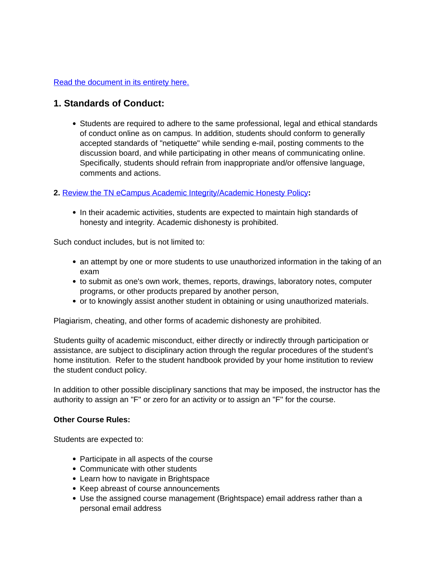# Read the document in its entirety here.

# **1. Standards of Conduct:**

• Students are required to adhere to the same professional, legal and ethical standards of conduct online as on campus. In addition, students should conform to generally accepted standards of "netiquette" while sending e-mail, posting comments to the discussion board, and while participating in other means of communicating online. Specifically, students should refrain from inappropriate and/or offensive language, comments and actions.

# **2.** Review the TN eCampus Academic Integrity/Academic Honesty Policy**:**

In their academic activities, students are expected to maintain high standards of honesty and integrity. Academic dishonesty is prohibited.

Such conduct includes, but is not limited to:

- an attempt by one or more students to use unauthorized information in the taking of an exam
- to submit as one's own work, themes, reports, drawings, laboratory notes, computer programs, or other products prepared by another person,
- or to knowingly assist another student in obtaining or using unauthorized materials.

Plagiarism, cheating, and other forms of academic dishonesty are prohibited.

Students guilty of academic misconduct, either directly or indirectly through participation or assistance, are subject to disciplinary action through the regular procedures of the student's home institution. Refer to the student handbook provided by your home institution to review the student conduct policy.

In addition to other possible disciplinary sanctions that may be imposed, the instructor has the authority to assign an "F" or zero for an activity or to assign an "F" for the course.

## **Other Course Rules:**

Students are expected to:

- Participate in all aspects of the course
- Communicate with other students
- Learn how to navigate in Brightspace
- Keep abreast of course announcements
- Use the assigned course management (Brightspace) email address rather than a personal email address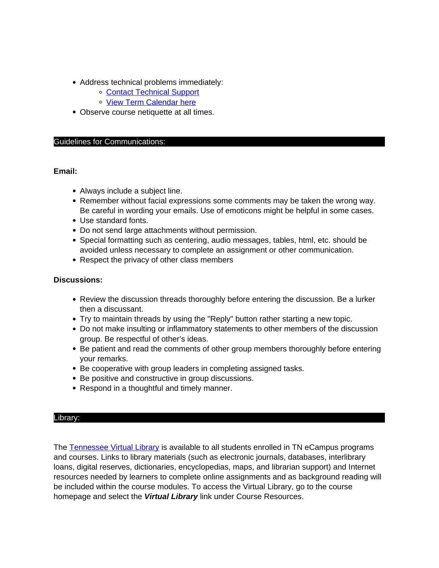- Address technical problems immediately:
	- Contact Technical Support
	- o View Term Calendar here
- Observe course netiquette at all times.

## Guidelines for Communications:

# **Email:**

- Always include a subject line.
- Remember without facial expressions some comments may be taken the wrong way. Be careful in wording your emails. Use of emoticons might be helpful in some cases.
- Use standard fonts.
- Do not send large attachments without permission.
- Special formatting such as centering, audio messages, tables, html, etc. should be avoided unless necessary to complete an assignment or other communication.
- Respect the privacy of other class members

# **Discussions:**

- Review the discussion threads thoroughly before entering the discussion. Be a lurker then a discussant.
- Try to maintain threads by using the "Reply" button rather starting a new topic.
- Do not make insulting or inflammatory statements to other members of the discussion group. Be respectful of other's ideas.
- Be patient and read the comments of other group members thoroughly before entering your remarks.
- Be cooperative with group leaders in completing assigned tasks.
- Be positive and constructive in group discussions.
- Respond in a thoughtful and timely manner.

## Library:

The Tennessee Virtual Library is available to all students enrolled in TN eCampus programs and courses. Links to library materials (such as electronic journals, databases, interlibrary loans, digital reserves, dictionaries, encyclopedias, maps, and librarian support) and Internet resources needed by learners to complete online assignments and as background reading will be included within the course modules. To access the Virtual Library, go to the course homepage and select the **Virtual Library** link under Course Resources.